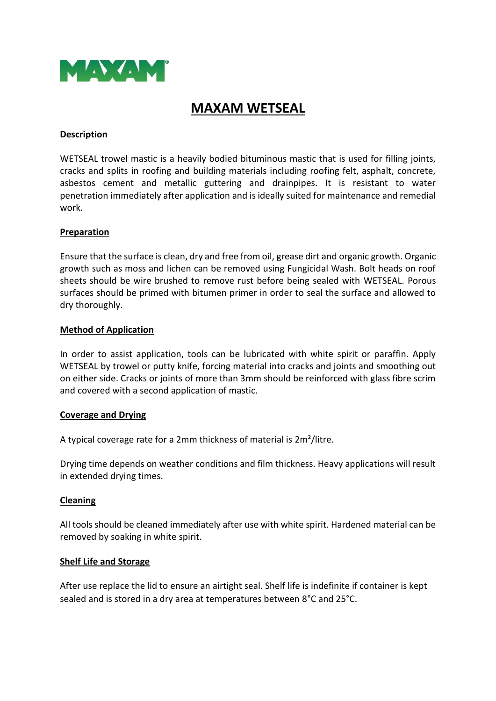

# **MAXAM WETSEAL**

# **Description**

WETSEAL trowel mastic is a heavily bodied bituminous mastic that is used for filling joints, cracks and splits in roofing and building materials including roofing felt, asphalt, concrete, asbestos cement and metallic guttering and drainpipes. It is resistant to water penetration immediately after application and is ideally suited for maintenance and remedial work.

## **Preparation**

Ensure that the surface is clean, dry and free from oil, grease dirt and organic growth. Organic growth such as moss and lichen can be removed using Fungicidal Wash. Bolt heads on roof sheets should be wire brushed to remove rust before being sealed with WETSEAL. Porous surfaces should be primed with bitumen primer in order to seal the surface and allowed to dry thoroughly.

## **Method of Application**

In order to assist application, tools can be lubricated with white spirit or paraffin. Apply WETSEAL by trowel or putty knife, forcing material into cracks and joints and smoothing out on either side. Cracks or joints of more than 3mm should be reinforced with glass fibre scrim and covered with a second application of mastic.

#### **Coverage and Drying**

A typical coverage rate for a 2mm thickness of material is 2m²/litre.

Drying time depends on weather conditions and film thickness. Heavy applications will result in extended drying times.

#### **Cleaning**

All tools should be cleaned immediately after use with white spirit. Hardened material can be removed by soaking in white spirit.

# **Shelf Life and Storage**

After use replace the lid to ensure an airtight seal. Shelf life is indefinite if container is kept sealed and is stored in a dry area at temperatures between 8°C and 25°C.